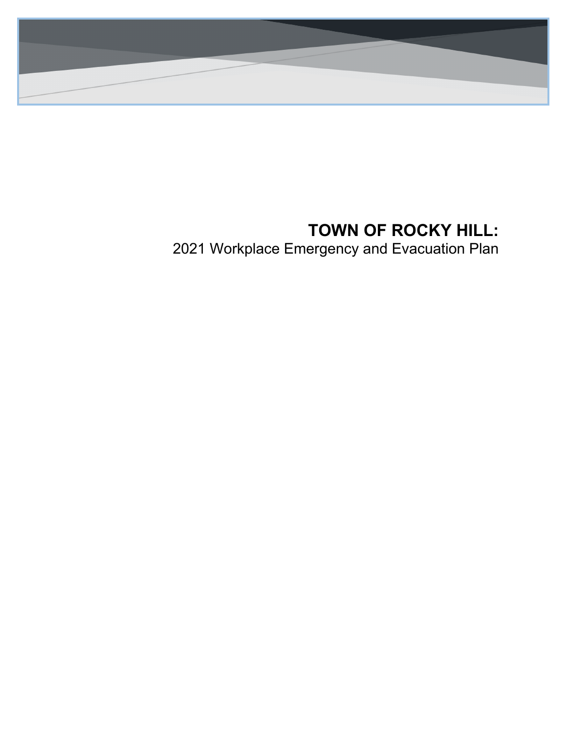

# **TOWN OF ROCKY HILL:**

2021 Workplace Emergency and Evacuation Plan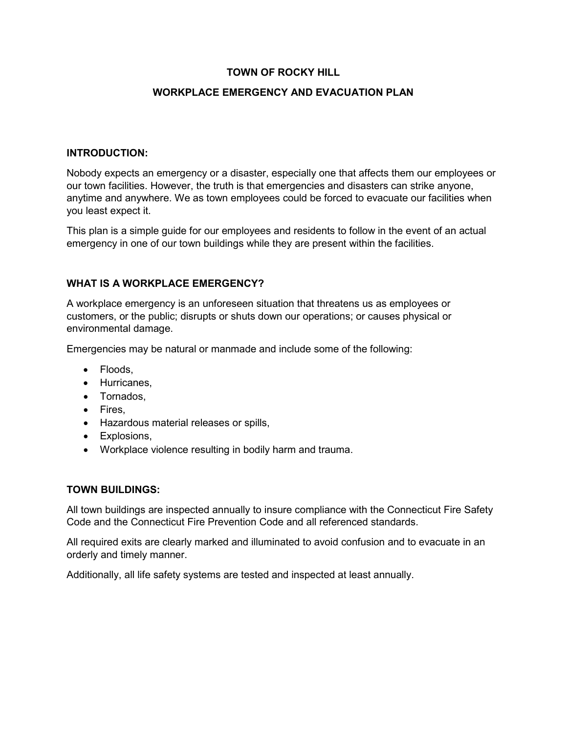## **TOWN OF ROCKY HILL**

### **WORKPLACE EMERGENCY AND EVACUATION PLAN**

### **INTRODUCTION:**

Nobody expects an emergency or a disaster, especially one that affects them our employees or our town facilities. However, the truth is that emergencies and disasters can strike anyone, anytime and anywhere. We as town employees could be forced to evacuate our facilities when you least expect it.

This plan is a simple guide for our employees and residents to follow in the event of an actual emergency in one of our town buildings while they are present within the facilities.

#### **WHAT IS A WORKPLACE EMERGENCY?**

A workplace emergency is an unforeseen situation that threatens us as employees or customers, or the public; disrupts or shuts down our operations; or causes physical or environmental damage.

Emergencies may be natural or manmade and include some of the following:

- Floods.
- Hurricanes,
- Tornados,
- Fires,
- Hazardous material releases or spills,
- Explosions,
- Workplace violence resulting in bodily harm and trauma.

#### **TOWN BUILDINGS:**

All town buildings are inspected annually to insure compliance with the Connecticut Fire Safety Code and the Connecticut Fire Prevention Code and all referenced standards.

All required exits are clearly marked and illuminated to avoid confusion and to evacuate in an orderly and timely manner.

Additionally, all life safety systems are tested and inspected at least annually.